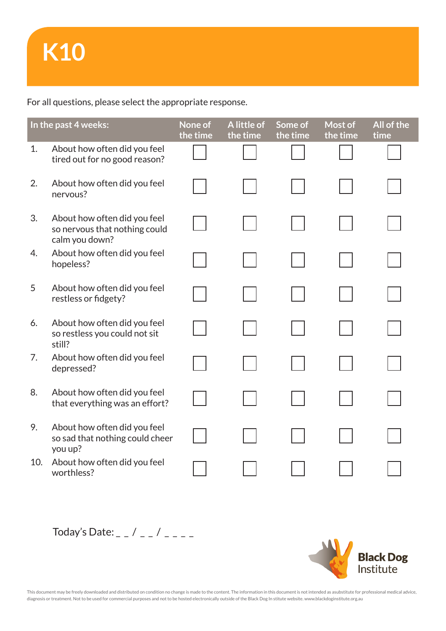For all questions, please select the appropriate response.

| In the past 4 weeks: |                                                                                 | None of<br>the time | A little of<br>the time | Some of<br>the time | Most of<br>the time | All of the<br>time |
|----------------------|---------------------------------------------------------------------------------|---------------------|-------------------------|---------------------|---------------------|--------------------|
| 1.                   | About how often did you feel<br>tired out for no good reason?                   |                     |                         |                     |                     |                    |
| 2.                   | About how often did you feel<br>nervous?                                        |                     |                         |                     |                     |                    |
| 3.                   | About how often did you feel<br>so nervous that nothing could<br>calm you down? |                     |                         |                     |                     |                    |
| 4.                   | About how often did you feel<br>hopeless?                                       |                     |                         |                     |                     |                    |
| 5                    | About how often did you feel<br>restless or fidgety?                            |                     |                         |                     |                     |                    |
| 6.                   | About how often did you feel<br>so restless you could not sit<br>still?         |                     |                         |                     |                     |                    |
| 7.                   | About how often did you feel<br>depressed?                                      |                     |                         |                     |                     |                    |
| 8.                   | About how often did you feel<br>that everything was an effort?                  |                     |                         |                     |                     |                    |
| 9.                   | About how often did you feel<br>so sad that nothing could cheer<br>you up?      |                     |                         |                     |                     |                    |
| 10.                  | About how often did you feel<br>worthless?                                      |                     |                         |                     |                     |                    |





This document may be freely downloaded and distributed on condition no change is made to the content. The information in this document is not intended as asubstitute for professional medical advice, diagnosis or treatment. Not to be used for commercial purposes and not to be hosted electronically outside of the Black Dog In stitute website. www.blackdoginstitute.org.au